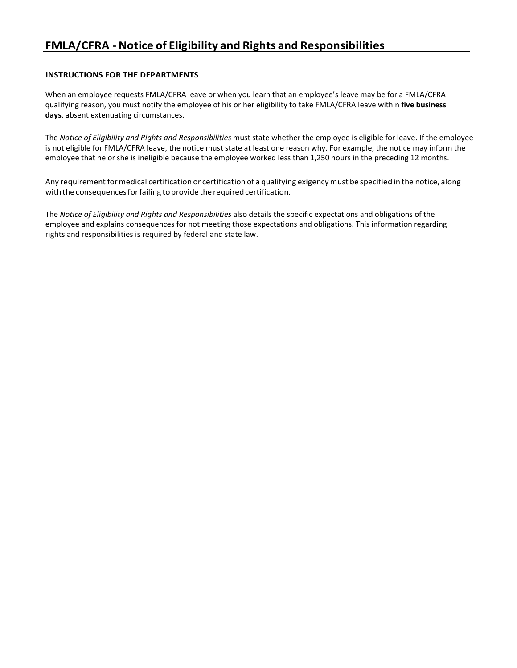# **FMLA/CFRA - Notice of Eligibility and Rights and Responsibilities**

### **INSTRUCTIONS FOR THE DEPARTMENTS**

When an employee requests FMLA/CFRA leave or when you learn that an employee's leave may be for a FMLA/CFRA qualifying reason, you must notify the employee of his or her eligibility to take FMLA/CFRA leave within **five business days**, absent extenuating circumstances.

The *Notice of Eligibility and Rights and Responsibilities* must state whether the employee is eligible for leave. If the employee is not eligible for FMLA/CFRA leave, the notice must state at least one reason why. For example, the notice may inform the employee that he or she is ineligible because the employee worked less than 1,250 hours in the preceding 12 months.

Any requirement for medical certification or certification of a qualifying exigency must be specified in the notice, along with the consequences for failing to provide the required certification.

The *Notice of Eligibility and Rights and Responsibilities* also details the specific expectations and obligations of the employee and explains consequences for not meeting those expectations and obligations. This information regarding rights and responsibilities is required by federal and state law.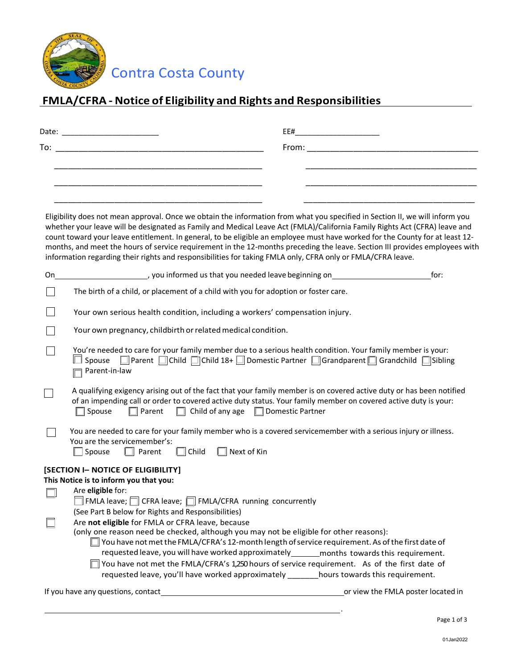

Contra Costa County

# **FMLA/CFRA - Notice of Eligibility and Rights and Responsibilities**

|     | EE#                                                                                                                                                                                                                                                                                                                                                                                                                                                                                                                                                                                                                                      |
|-----|------------------------------------------------------------------------------------------------------------------------------------------------------------------------------------------------------------------------------------------------------------------------------------------------------------------------------------------------------------------------------------------------------------------------------------------------------------------------------------------------------------------------------------------------------------------------------------------------------------------------------------------|
| To: | From: Experience of the state of the state of the state of the state of the state of the state of the state of the state of the state of the state of the state of the state of the state of the state of the state of the sta                                                                                                                                                                                                                                                                                                                                                                                                           |
|     |                                                                                                                                                                                                                                                                                                                                                                                                                                                                                                                                                                                                                                          |
|     |                                                                                                                                                                                                                                                                                                                                                                                                                                                                                                                                                                                                                                          |
|     |                                                                                                                                                                                                                                                                                                                                                                                                                                                                                                                                                                                                                                          |
|     | Eligibility does not mean approval. Once we obtain the information from what you specified in Section II, we will inform you<br>whether your leave will be designated as Family and Medical Leave Act (FMLA)/California Family Rights Act (CFRA) leave and<br>count toward your leave entitlement. In general, to be eligible an employee must have worked for the County for at least 12-<br>months, and meet the hours of service requirement in the 12-months preceding the leave. Section III provides employees with<br>information regarding their rights and responsibilities for taking FMLA only, CFRA only or FMLA/CFRA leave. |
| On  | [100] you informed us that you needed leave beginning on<br>for:                                                                                                                                                                                                                                                                                                                                                                                                                                                                                                                                                                         |
|     | The birth of a child, or placement of a child with you for adoption or foster care.                                                                                                                                                                                                                                                                                                                                                                                                                                                                                                                                                      |
|     | Your own serious health condition, including a workers' compensation injury.                                                                                                                                                                                                                                                                                                                                                                                                                                                                                                                                                             |
|     | Your own pregnancy, childbirth or related medical condition.                                                                                                                                                                                                                                                                                                                                                                                                                                                                                                                                                                             |
|     | You're needed to care for your family member due to a serious health condition. Your family member is your:<br>$\Box$ Spouse $\Box$ Parent $\Box$ Child $\Box$ Child 18+ $\Box$ Domestic Partner $\Box$ Grandparent $\Box$ Grandchild $\Box$ Sibling<br>Parent-in-law                                                                                                                                                                                                                                                                                                                                                                    |
|     | A qualifying exigency arising out of the fact that your family member is on covered active duty or has been notified<br>of an impending call or order to covered active duty status. Your family member on covered active duty is your:<br>$\Box$ Child of any age $\Box$ Domestic Partner<br>$\Box$ Spouse<br>$\Box$ Parent                                                                                                                                                                                                                                                                                                             |
|     | You are needed to care for your family member who is a covered servicemember with a serious injury or illness.<br>You are the servicemember's:<br>Child<br>$\Box$ Next of Kin<br>Spouse<br>$\Box$ Parent                                                                                                                                                                                                                                                                                                                                                                                                                                 |
|     | [SECTION I- NOTICE OF ELIGIBILITY]<br>This Notice is to inform you that you:<br>Are eligible for:<br>$ $ FMLA leave; $\Box$ CFRA leave; $\Box$ FMLA/CFRA running concurrently                                                                                                                                                                                                                                                                                                                                                                                                                                                            |
|     | (See Part B below for Rights and Responsibilities)                                                                                                                                                                                                                                                                                                                                                                                                                                                                                                                                                                                       |
|     | Are not eligible for FMLA or CFRA leave, because<br>(only one reason need be checked, although you may not be eligible for other reasons):<br>$\Box$ You have not met the FMLA/CFRA's 12-month length of service requirement. As of the first date of<br>requested leave, you will have worked approximately_______ months towards this requirement.<br>□ You have not met the FMLA/CFRA's 1,250 hours of service requirement. As of the first date of                                                                                                                                                                                   |
|     | requested leave, you'll have worked approximately _______hours towards this requirement.                                                                                                                                                                                                                                                                                                                                                                                                                                                                                                                                                 |
|     |                                                                                                                                                                                                                                                                                                                                                                                                                                                                                                                                                                                                                                          |
|     |                                                                                                                                                                                                                                                                                                                                                                                                                                                                                                                                                                                                                                          |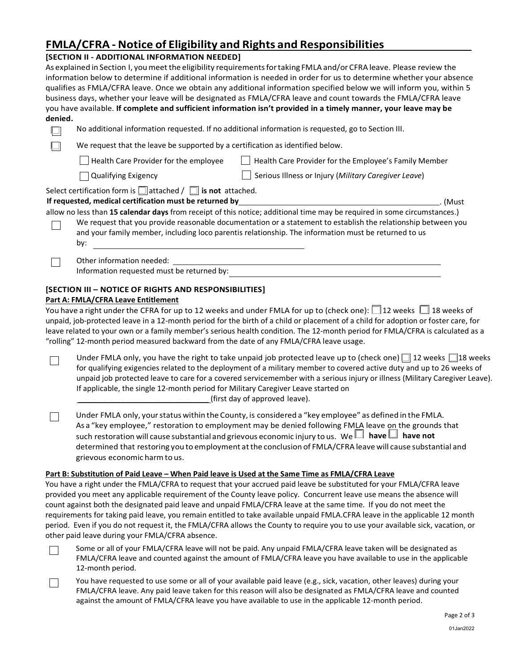# **FMLA/CFRA - Notice of Eligibility and Rights and Responsibilities**

### **[SECTION II - ADDITIONAL INFORMATION NEEDED]**

As explained in Section I, youmeetthe eligibility requirementsfortaking FMLA and/or CFRA leave. Please review the information below to determine if additional information is needed in order for us to determine whether your absence qualifies as FMLA/CFRA leave. Once we obtain any additional information specified below we will inform you, within 5 business days, whether your leave will be designated as FMLA/CFRA leave and count towards the FMLA/CFRA leave you have available. **If complete and sufficient information isn't provided in a timely manner, your leave may be denied.** 

| No additional information requested. If no additional information is requested, go to Section III. |                                                                                                                                                                                                                                                                                                                                                                                                                                                                                                                                                                                     |         |  |
|----------------------------------------------------------------------------------------------------|-------------------------------------------------------------------------------------------------------------------------------------------------------------------------------------------------------------------------------------------------------------------------------------------------------------------------------------------------------------------------------------------------------------------------------------------------------------------------------------------------------------------------------------------------------------------------------------|---------|--|
| We request that the leave be supported by a certification as identified below.                     |                                                                                                                                                                                                                                                                                                                                                                                                                                                                                                                                                                                     |         |  |
| Health Care Provider for the employee                                                              | Health Care Provider for the Employee's Family Member                                                                                                                                                                                                                                                                                                                                                                                                                                                                                                                               |         |  |
| <b>Qualifying Exigency</b>                                                                         | Serious Illness or Injury (Military Caregiver Leave)                                                                                                                                                                                                                                                                                                                                                                                                                                                                                                                                |         |  |
| Select certification form is $\Box$ attached / $\Box$ is not attached.<br>by:                      | If requested, medical certification must be returned by the contract of the contract of the contract of the contract of the contract of the contract of the contract of the contract of the contract of the contract of the co<br>allow no less than 15 calendar days from receipt of this notice; additional time may be required in some circumstances.)<br>We request that you provide reasonable documentation or a statement to establish the relationship between you<br>and your family member, including loco parentis relationship. The information must be returned to us | . (Must |  |
| Other information needed:<br>Information requested must be returned by:                            |                                                                                                                                                                                                                                                                                                                                                                                                                                                                                                                                                                                     |         |  |
| [SECTION III - NOTICE OF RIGHTS AND RESPONSIBILITIES]                                              |                                                                                                                                                                                                                                                                                                                                                                                                                                                                                                                                                                                     |         |  |

## **Part A: FMLA/CFRA Leave Entitlement**

You have a right under the CFRA for up to 12 weeks and under FMLA for up to (check one):  $\Box$  12 weeks  $\Box$  18 weeks of unpaid, job-protected leave in a 12-month period for the birth of a child or placement of a child for adoption or foster care, for leave related to your own or a family member's serious health condition. The 12-month period for FMLA/CFRA is calculated as a "rolling" 12-month period measured backward from the date of any FMLA/CFRA leave usage.

Under FMLA only, you have the right to take unpaid job protected leave up to (check one)  $\Box$  12 weeks  $\Box$  18 weeks  $\Box$ for qualifying exigencies related to the deployment of a military member to covered active duty and up to 26 weeks of unpaid job protected leave to care for a covered servicemember with a serious injury or illness (Military Caregiver Leave). If applicable, the single 12-month period for Military Caregiver Leave started on \_\_\_\_\_\_\_\_\_\_\_\_\_\_\_\_\_\_\_\_\_\_\_\_\_\_\_\_\_\_\_ (first day of approved leave).

Under FMLA only, yourstatus within the County, is considered a "key employee" as defined in the FMLA. As a "key employee," restoration to employment may be denied following FMLA leave on the grounds that such restoration will cause substantial and grievous economic injury to us. We  $\Box$  have  $\Box$  have not determined that restoring you to employment atthe conclusion of FMLA/CFRA leave will cause substantial and grievous economic harmto us.

### **Part B: Substitution of Paid Leave – When Paid leave is Used at the Same Time as FMLA/CFRA Leave**

You have a right under the FMLA/CFRA to request that your accrued paid leave be substituted for your FMLA/CFRA leave provided you meet any applicable requirement of the County leave policy. Concurrent leave use means the absence will count against both the designated paid leave and unpaid FMLA/CFRA leave at the same time. If you do not meet the requirements for taking paid leave, you remain entitled to take available unpaid FMLA.CFRA leave in the applicable 12 month period. Even if you do not request it, the FMLA/CFRA allows the County to require you to use your available sick, vacation, or other paid leave during your FMLA/CFRA absence.



 $\Box$ 

Some or all of your FMLA/CFRA leave will not be paid. Any unpaid FMLA/CFRA leave taken will be designated as FMLA/CFRA leave and counted against the amount of FMLA/CFRA leave you have available to use in the applicable 12-month period.